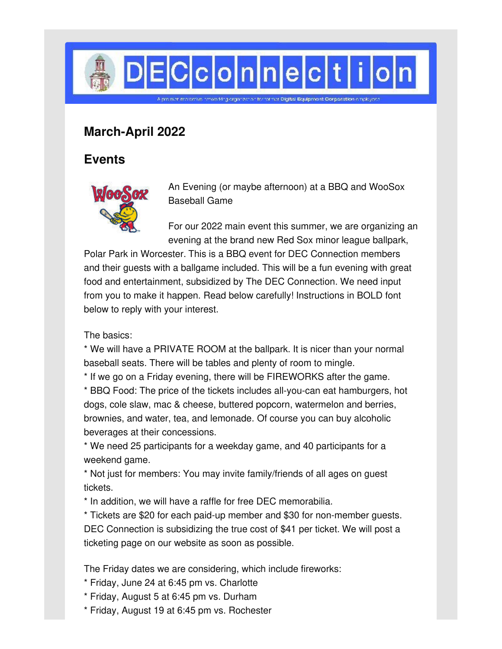

## **March-April 2022**

## **Events**



An Evening (or maybe afternoon) at a BBQ and WooSox Baseball Game

For our 2022 main event this summer, we are organizing an evening at the brand new Red Sox minor league ballpark,

Polar Park in Worcester. This is a BBQ event for DEC Connection members and their guests with a ballgame included. This will be a fun evening with great food and entertainment, subsidized by The DEC Connection. We need input from you to make it happen. Read below carefully! Instructions in BOLD font below to reply with your interest.

The basics:

\* We will have a PRIVATE ROOM at the ballpark. It is nicer than your normal baseball seats. There will be tables and plenty of room to mingle.

\* If we go on a Friday evening, there will be FIREWORKS after the game.

\* BBQ Food: The price of the tickets includes all-you-can eat hamburgers, hot dogs, cole slaw, mac & cheese, buttered popcorn, watermelon and berries, brownies, and water, tea, and lemonade. Of course you can buy alcoholic beverages at their concessions.

\* We need 25 participants for a weekday game, and 40 participants for a weekend game.

\* Not just for members: You may invite family/friends of all ages on guest tickets.

\* In addition, we will have a raffle for free DEC memorabilia.

\* Tickets are \$20 for each paid-up member and \$30 for non-member guests. DEC Connection is subsidizing the true cost of \$41 per ticket. We will post a ticketing page on our website as soon as possible.

The Friday dates we are considering, which include fireworks:

\* Friday, June 24 at 6:45 pm vs. Charlotte

- \* Friday, August 5 at 6:45 pm vs. Durham
- \* Friday, August 19 at 6:45 pm vs. Rochester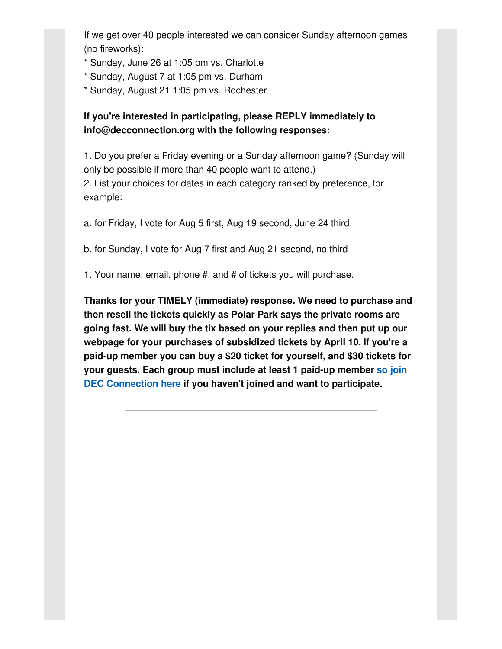If we get over 40 people interested we can consider Sunday afternoon games (no fireworks):

- \* Sunday, June 26 at 1:05 pm vs. Charlotte
- \* Sunday, August 7 at 1:05 pm vs. Durham
- \* Sunday, August 21 1:05 pm vs. Rochester

#### **If you're interested in participating, please REPLY immediately to info@decconnection.org with the following responses:**

1. Do you prefer a Friday evening or a Sunday afternoon game? (Sunday will only be possible if more than 40 people want to attend.)

2. List your choices for dates in each category ranked by preference, for example:

a. for Friday, I vote for Aug 5 first, Aug 19 second, June 24 third

b. for Sunday, I vote for Aug 7 first and Aug 21 second, no third

1. Your name, email, phone #, and # of tickets you will purchase.

**Thanks for your TIMELY (immediate) response. We need to purchase and then resell the tickets quickly as Polar Park says the private rooms are going fast. We will buy the tix based on your replies and then put up our webpage for your purchases of subsidized tickets by April 10. If you're a paid-up member you can buy a \$20 ticket for yourself, and \$30 tickets for your guests. Each group must include at least 1 paid-up member so join DEC [Connection](http://www.decconnection.org/join-online.htm) here if you haven't joined and want to participate.**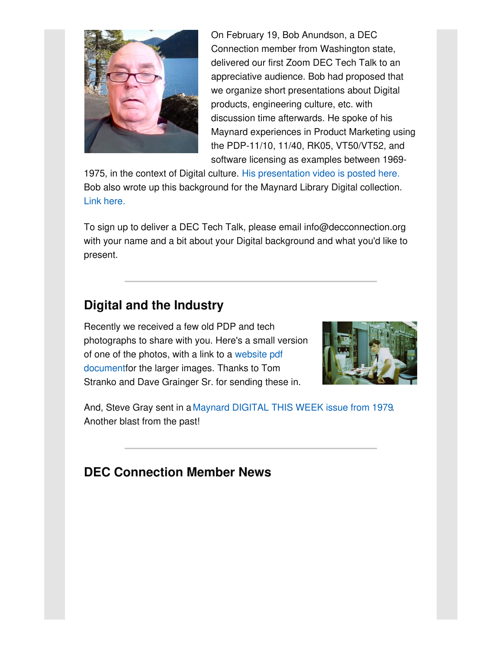

On February 19, Bob Anundson, a DEC Connection member from Washington state, delivered our first Zoom DEC Tech Talk to an appreciative audience. Bob had proposed that we organize short presentations about Digital products, engineering culture, etc. with discussion time afterwards. He spoke of his Maynard experiences in Product Marketing using the PDP-11/10, 11/40, RK05, VT50/VT52, and software licensing as examples between 1969-

1975, in the context of Digital culture. His [presentation](http://decconnection.org/techtalks.htm) video is posted here. Bob also wrote up this background for the Maynard Library Digital collection. Link [here.](http://www.decconnection.org/articles/BobAnundson-Digitalexperience-Dec2021.pdf)

To sign up to deliver a DEC Tech Talk, please email info@decconnection.org with your name and a bit about your Digital background and what you'd like to present.

## **Digital and the Industry**

Recently we received a few old PDP and tech photographs to share with you. Here's a small version of one of the photos, with a link to a website pdf [documentfor](http://www.decconnection.org/articles/DaveGrainger-TomStranko-oldPDPphotos.pdf) the larger images. Thanks to Tom Stranko and Dave Grainger Sr. for sending these in.



And, Steve Gray sent in a Maynard [DIGITAL](http://www.decconnection.org/articles/MaynardDigitalThisWeek-17December1979.pdf) THIS WEEK issue from 1979. Another blast from the past!

### **DEC Connection Member News**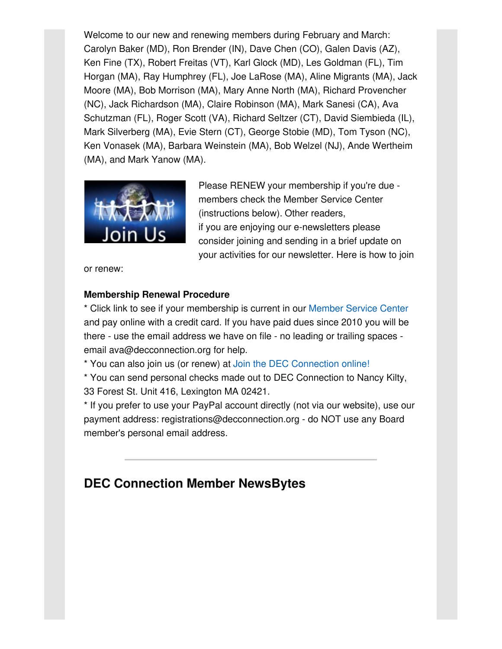Welcome to our new and renewing members during February and March: Carolyn Baker (MD), Ron Brender (IN), Dave Chen (CO), Galen Davis (AZ), Ken Fine (TX), Robert Freitas (VT), Karl Glock (MD), Les Goldman (FL), Tim Horgan (MA), Ray Humphrey (FL), Joe LaRose (MA), Aline Migrants (MA), Jack Moore (MA), Bob Morrison (MA), Mary Anne North (MA), Richard Provencher (NC), Jack Richardson (MA), Claire Robinson (MA), Mark Sanesi (CA), Ava Schutzman (FL), Roger Scott (VA), Richard Seltzer (CT), David Siembieda (IL), Mark Silverberg (MA), Evie Stern (CT), George Stobie (MD), Tom Tyson (NC), Ken Vonasek (MA), Barbara Weinstein (MA), Bob Welzel (NJ), Ande Wertheim (MA), and Mark Yanow (MA).



Please RENEW your membership if you're due members check the Member Service Center (instructions below). Other readers, if you are enjoying our e-newsletters please consider joining and sending in a brief update on your activities for our newsletter. Here is how to join

or renew:

#### **Membership Renewal Procedure**

\* Click link to see if your membership is current in our [Member](http://www.decconnection.org/msclogin.php) Service Center and pay online with a credit card. If you have paid dues since 2010 you will be there - use the email address we have on file - no leading or trailing spaces email ava@decconnection.org for help.

\* You can also join us (or renew) at Join the DEC [Connection](http://www.decconnection.org/join-online.htm) online!

\* You can send personal checks made out to DEC Connection to Nancy Kilty, 33 Forest St. Unit 416, Lexington MA 02421.

\* If you prefer to use your PayPal account directly (not via our website), use our payment address: registrations@decconnection.org - do NOT use any Board member's personal email address.

# **DEC Connection Member NewsBytes**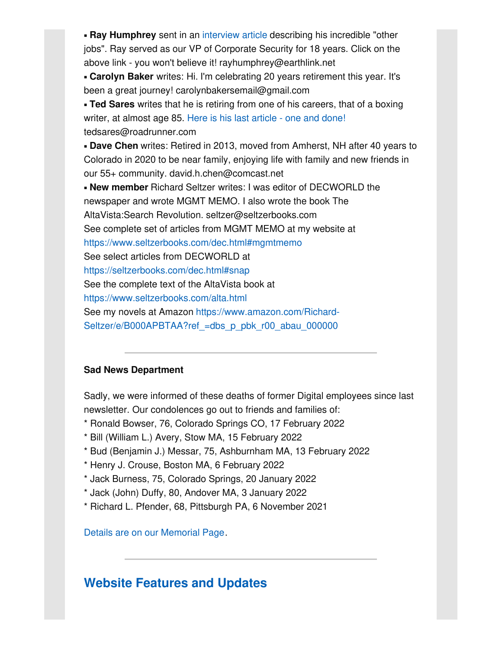**Ray Humphrey** sent in an [interview](http://www.decconnection.org/articles/RayHumphreyarticleMarch2022.pdf) article describing his incredible "other jobs". Ray served as our VP of Corporate Security for 18 years. Click on the above link - you won't believe it! rayhumphrey@earthlink.net

▪ **Carolyn Baker** writes: Hi. I'm celebrating 20 years retirement this year. It's been a great journey! carolynbakersemail@gmail.com

▪ **Ted Sares** writes that he is retiring from one of his careers, that of a boxing writer, at almost age 85. Here is his last [article](http://www.decconnection.org/articles/TedSares-lastboxingarticle.pdf) - one and done! tedsares@roadrunner.com

▪ **Dave Chen** writes: Retired in 2013, moved from Amherst, NH after 40 years to Colorado in 2020 to be near family, enjoying life with family and new friends in our 55+ community. david.h.chen@comcast.net

▪ **New member** Richard Seltzer writes: I was editor of DECWORLD the newspaper and wrote MGMT MEMO. I also wrote the book The AltaVista:Search Revolution. seltzer@seltzerbooks.com See complete set of articles from MGMT MEMO at my website at <https://www.seltzerbooks.com/dec.html#mgmtmemo> See select articles from DECWORLD at <https://seltzerbooks.com/dec.html#snap> See the complete text of the AltaVista book at <https://www.seltzerbooks.com/alta.html> See my novels at Amazon https://www.amazon.com/Richard-Seltzer/e/B000APBTAA?ref =dbs\_p\_pbk\_r00\_abau\_000000

#### **Sad News Department**

Sadly, we were informed of these deaths of former Digital employees since last newsletter. Our condolences go out to friends and families of:

- \* Ronald Bowser, 76, Colorado Springs CO, 17 February 2022
- \* Bill (William L.) Avery, Stow MA, 15 February 2022
- \* Bud (Benjamin J.) Messar, 75, Ashburnham MA, 13 February 2022
- \* Henry J. Crouse, Boston MA, 6 February 2022
- \* Jack Burness, 75, Colorado Springs, 20 January 2022
- \* Jack (John) Duffy, 80, Andover MA, 3 January 2022
- \* Richard L. Pfender, 68, Pittsburgh PA, 6 November 2021

Details are on our [Memorial](http://www.decconnection.org/memorials.htm) Page.

### **Website [Features](http://www.decconnection.org) and Updates**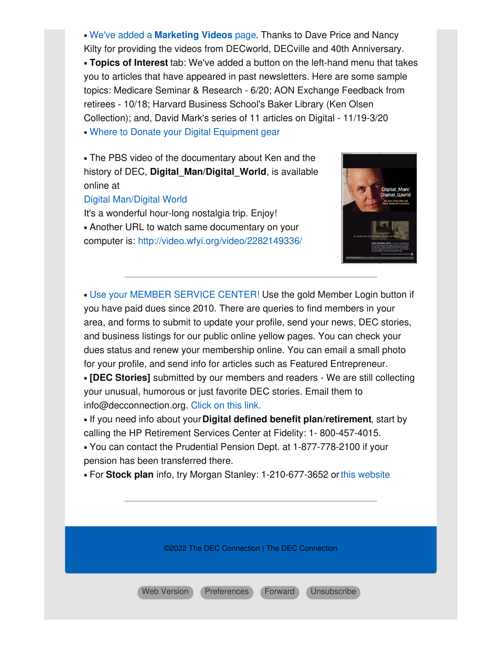▪ We've added a **[Marketing](http://www.decconnection.org/marketingvideos.htm) Videos** page. Thanks to Dave Price and Nancy Kilty for providing the videos from DECworld, DECville and 40th Anniversary. ▪ **Topics of Interest** tab: We've added a button on the left-hand menu that takes you to articles that have appeared in past newsletters. Here are some sample topics: Medicare Seminar & Research - 6/20; AON Exchange Feedback from retirees - 10/18; Harvard Business School's Baker Library (Ken Olsen Collection); and, David Mark's series of 11 articles on Digital - 11/19-3/20 • Where to Donate your Digital [Equipment](http://www.decconnection.org/DECdonations.htm) gear

**.** The PBS video of the documentary about Ken and the history of DEC, **Digital\_Man/Digital\_World**, is available online at

#### Digital [Man/Digital](https://www.pbs.org/video/digital-man-digital-world/) World

It's a wonderful hour-long nostalgia trip. Enjoy! **.** Another URL to watch same documentary on your computer is: <http://video.wfyi.org/video/2282149336/>



▪ Use your MEMBER [SERVICE](http://www.decconnection.org/msclogin.php) CENTER! Use the gold Member Login button if you have paid dues since 2010. There are queries to find members in your area, and forms to submit to update your profile, send your news, DEC stories, and business listings for our public online yellow pages. You can check your dues status and renew your membership online. You can email a small photo for your profile, and send info for articles such as Featured Entrepreneur.

▪ **[DEC Stories]** submitted by our members and readers - We are still collecting your unusual, humorous or just favorite DEC stories. Email them to info@decconnection.org. [Click](http://www.decconnection.org/stories.htm) on this link.

▪ If you need info about your**Digital defined benefit plan/retirement**, start by calling the HP Retirement Services Center at Fidelity: 1- 800-457-4015.

▪ You can contact the Prudential Pension Dept. at 1-877-778-2100 if your pension has been transferred there.

▪ For **Stock plan** info, try Morgan Stanley: 1-210-677-3652 orthis [website](http://www.morganstanley.com/spc/knowledge/getting-started/service/stockplan-connect-has-replaced-benefit-access.html)

©2022 The DEC Connection | The DEC Connection

Web [Version](https://gem.godaddy.com/p/b77ab31?pact=0-0-0-864282bb90492c26bd775b6a23655313fd13d23d) [Preferences](https://gem.godaddy.com/subscription/edit?pact=0-0-0-864282bb90492c26bd775b6a23655313fd13d23d) [Forward](https://gem.godaddy.com/forward/0-0-0-864282bb90492c26bd775b6a23655313fd13d23d) [Unsubscribe](https://gem.godaddy.com/opt_out?pact=0-0-0-864282bb90492c26bd775b6a23655313fd13d23d)